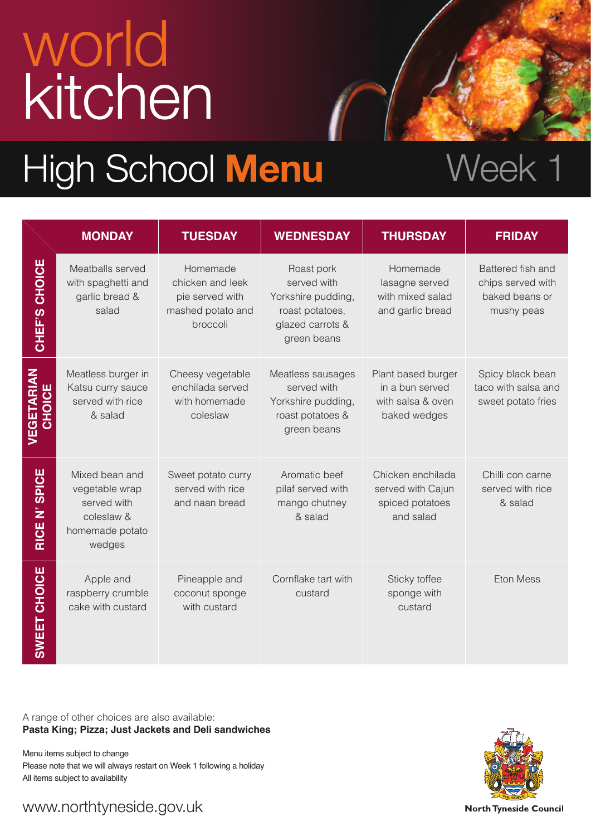# world kitchen

### High School Menu Week 1

|                             | <b>MONDAY</b>                                                                              | <b>TUESDAY</b>                                                                   | <b>WEDNESDAY</b>                                                                                      | <b>THURSDAY</b>                                                            | <b>FRIDAY</b>                                                          |
|-----------------------------|--------------------------------------------------------------------------------------------|----------------------------------------------------------------------------------|-------------------------------------------------------------------------------------------------------|----------------------------------------------------------------------------|------------------------------------------------------------------------|
| CHEF'S CHOICE               | Meatballs served<br>with spaghetti and<br>garlic bread &<br>salad                          | Homemade<br>chicken and leek<br>pie served with<br>mashed potato and<br>broccoli | Roast pork<br>served with<br>Yorkshire pudding,<br>roast potatoes,<br>glazed carrots &<br>green beans | Homemade<br>lasagne served<br>with mixed salad<br>and garlic bread         | Battered fish and<br>chips served with<br>baked beans or<br>mushy peas |
| <b>VEGETARIAN</b><br>CHOICE | Meatless burger in<br>Katsu curry sauce<br>served with rice<br>& salad                     | Cheesy vegetable<br>enchilada served<br>with homemade<br>coleslaw                | Meatless sausages<br>served with<br>Yorkshire pudding,<br>roast potatoes &<br>green beans             | Plant based burger<br>in a bun served<br>with salsa & oven<br>baked wedges | Spicy black bean<br>taco with salsa and<br>sweet potato fries          |
| RICE N' SPICE               | Mixed bean and<br>vegetable wrap<br>served with<br>coleslaw &<br>homemade potato<br>wedges | Sweet potato curry<br>served with rice<br>and naan bread                         | Aromatic beef<br>pilaf served with<br>mango chutney<br>& salad                                        | Chicken enchilada<br>served with Cajun<br>spiced potatoes<br>and salad     | Chilli con carne<br>served with rice<br>& salad                        |
| <b>SWEET CHOICE</b>         | Apple and<br>raspberry crumble<br>cake with custard                                        | Pineapple and<br>coconut sponge<br>with custard                                  | Cornflake tart with<br>custard                                                                        | Sticky toffee<br>sponge with<br>custard                                    | <b>Eton Mess</b>                                                       |

A range of other choices are also available: **Pasta King; Pizza; Just Jackets and Deli sandwiches** 

Menu items subject to change Please note that we will always restart on Week 1 following a holiday All items subject to availability



www.northtyneside.gov.uk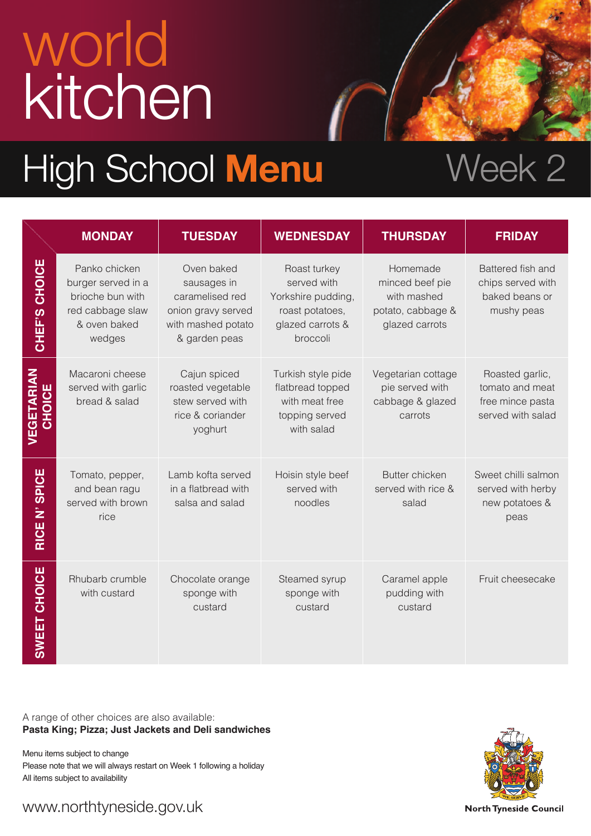# world kitchen

### High School Menu Week 2

|                             | <b>MONDAY</b>                                                                                         | <b>TUESDAY</b>                                                                                            | <b>WEDNESDAY</b>                                                                                     | <b>THURSDAY</b>                                                                   | <b>FRIDAY</b>                                                               |
|-----------------------------|-------------------------------------------------------------------------------------------------------|-----------------------------------------------------------------------------------------------------------|------------------------------------------------------------------------------------------------------|-----------------------------------------------------------------------------------|-----------------------------------------------------------------------------|
| CHEF'S CHOICE               | Panko chicken<br>burger served in a<br>brioche bun with<br>red cabbage slaw<br>& oven baked<br>wedges | Oven baked<br>sausages in<br>caramelised red<br>onion gravy served<br>with mashed potato<br>& garden peas | Roast turkey<br>served with<br>Yorkshire pudding,<br>roast potatoes,<br>glazed carrots &<br>broccoli | Homemade<br>minced beef pie<br>with mashed<br>potato, cabbage &<br>glazed carrots | Battered fish and<br>chips served with<br>baked beans or<br>mushy peas      |
| VEGETARIAN<br><b>CHOICE</b> | Macaroni cheese<br>served with garlic<br>bread & salad                                                | Cajun spiced<br>roasted vegetable<br>stew served with<br>rice & coriander<br>yoghurt                      | Turkish style pide<br>flatbread topped<br>with meat free<br>topping served<br>with salad             | Vegetarian cottage<br>pie served with<br>cabbage & glazed<br>carrots              | Roasted garlic,<br>tomato and meat<br>free mince pasta<br>served with salad |
| RICE N' SPICE               | Tomato, pepper,<br>and bean ragu<br>served with brown<br>rice                                         | Lamb kofta served<br>in a flatbread with<br>salsa and salad                                               | Hoisin style beef<br>served with<br>noodles                                                          | Butter chicken<br>served with rice &<br>salad                                     | Sweet chilli salmon<br>served with herby<br>new potatoes &<br>peas          |
| <b>SWEET CHOICE</b>         | Rhubarb crumble<br>with custard                                                                       | Chocolate orange<br>sponge with<br>custard                                                                | Steamed syrup<br>sponge with<br>custard                                                              | Caramel apple<br>pudding with<br>custard                                          | Fruit cheesecake                                                            |

A range of other choices are also available: **Pasta King; Pizza; Just Jackets and Deli sandwiches** 

Menu items subject to change Please note that we will always restart on Week 1 following a holiday All items subject to availability



www.northtyneside.gov.uk